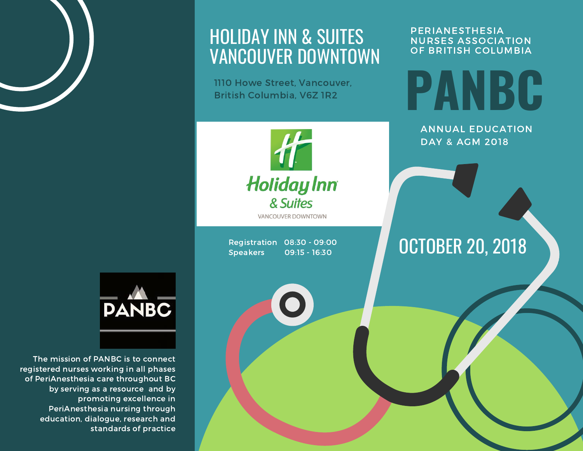

### HOLIDAY INN & SUITES VANCOUVER DOWNTOWN

1110 Howe Street, Vancouver, British Columbia, V6Z 1R2

### **PERIANESTHESIA** NURSES ASSOCIATION OF BRITISH COLUMBIA

**PANBC**

ANNUAL EDUCATION DAY & AGM 2018

OCTOBER 20, 2018



**VANCOUVER DOWNTOWN** 

Registration 08:30 - 09:00 Speakers 09:15 - 16:30



The mission of PANBC is to connect registered nurses working in all phases of PeriAnesthesia care throughout BC by serving as a resource and by promoting excellence in PeriAnesthesia nursing through education, dialogue, research and standards of practice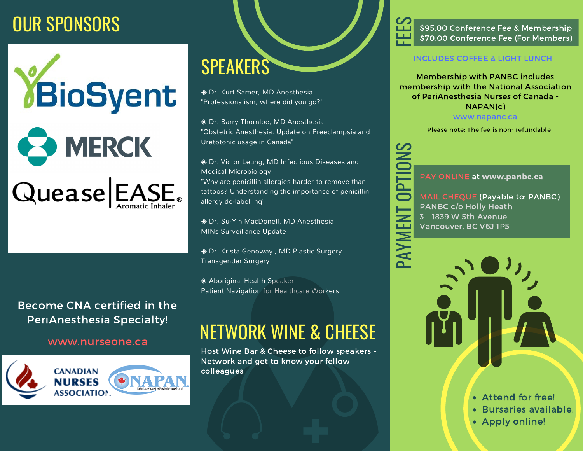## OUR SPONSORS



### Become CNA certified in the PeriAnesthesia Specialty!



# SPEAKERS

◈ Dr. Kurt Samer, MD Anesthesia "Professionalism, where did you go?"

◈ Dr. Barry Thornloe, MD Anesthesia "Obstetric Anesthesia: Update on Preeclampsia and Uretotonic usage in Canada"

◈ Dr. Victor Leung, MD Infectious Diseases and Medical Microbiology

"Why are penicillin allergies harder to remove than tattoos? Understanding the importance of penicillin allergy de-labelling"

◈ Dr. Su-Yin MacDonell, MD Anesthesia MINs Surveillance Update

◈ Dr. Krista Genoway , MD Plastic Surgery Transgender Surgery

◆ Aboriginal Health Speaker Patient Navigation for Healthcare Workers

# www.nurseone.ca NETWORK WINE & CHEESE

Host Wine Bar & Cheese to follow speakers - Network and get to know your fellow colleagues

FEE \$70.00 Conference Fee (For Members)  $\boldsymbol{\mathcal{S}}$ \$95.00 Conference Fee & Membership

### INCLUDES COFFEE & LIGHT LUNCH

Membership with PANBC includes membership with the National Association of PeriAnesthesia Nurses of Canada - NAPAN(c)

www.napanc.ca

Please note: The fee is non- refundable



 $\mathsf{\Omega}\mathsf{-}$  $\blacktriangleleft$  $\blacktriangleright$  PAY ONLINE at www.panbc.ca

 Vancouver, BC V6J 1P5 3 - 1839 W 5th Avenue PANBC c/o Holly Heath MAIL CHEQUE (Payable to: PANBC)



- Attend for free!
- Bursaries available.
- Apply online!